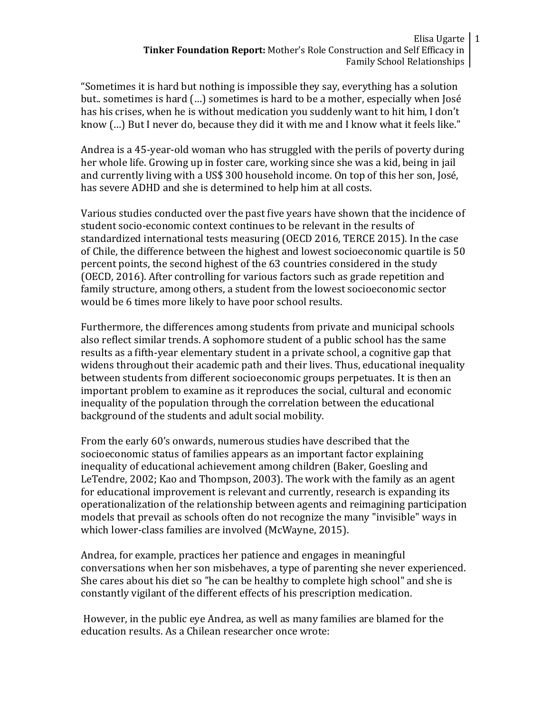Elisa Ugarte 1 **Tinker Foundation Report:** Mother's Role Construction and Self Efficacy in Family School Relationships

"Sometimes it is hard but nothing is impossible they say, everything has a solution but.. sometimes is hard (…) sometimes is hard to be a mother, especially when José has his crises, when he is without medication you suddenly want to hit him, I don't know (…) But I never do, because they did it with me and I know what it feels like."

Andrea is a 45-year-old woman who has struggled with the perils of poverty during her whole life. Growing up in foster care, working since she was a kid, being in jail and currently living with a US\$ 300 household income. On top of this her son, José, has severe ADHD and she is determined to help him at all costs.

Various studies conducted over the past five years have shown that the incidence of student socio-economic context continues to be relevant in the results of standardized international tests measuring (OECD 2016, TERCE 2015). In the case of Chile, the difference between the highest and lowest socioeconomic quartile is 50 percent points, the second highest of the 63 countries considered in the study (OECD, 2016). After controlling for various factors such as grade repetition and family structure, among others, a student from the lowest socioeconomic sector would be 6 times more likely to have poor school results.

Furthermore, the differences among students from private and municipal schools also reflect similar trends. A sophomore student of a public school has the same results as a fifth-year elementary student in a private school, a cognitive gap that widens throughout their academic path and their lives. Thus, educational inequality between students from different socioeconomic groups perpetuates. It is then an important problem to examine as it reproduces the social, cultural and economic inequality of the population through the correlation between the educational background of the students and adult social mobility.

From the early 60's onwards, numerous studies have described that the socioeconomic status of families appears as an important factor explaining inequality of educational achievement among children (Baker, Goesling and LeTendre, 2002; Kao and Thompson, 2003). The work with the family as an agent for educational improvement is relevant and currently, research is expanding its operationalization of the relationship between agents and reimagining participation models that prevail as schools often do not recognize the many "invisible" ways in which lower-class families are involved (McWayne, 2015).

Andrea, for example, practices her patience and engages in meaningful conversations when her son misbehaves, a type of parenting she never experienced. She cares about his diet so "he can be healthy to complete high school" and she is constantly vigilant of the different effects of his prescription medication.

However, in the public eye Andrea, as well as many families are blamed for the education results. As a Chilean researcher once wrote: